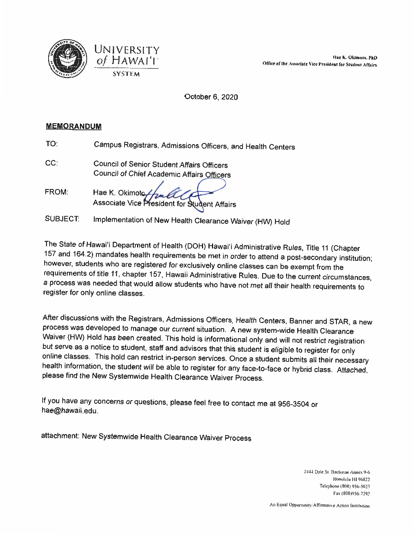Hae K. Okimoto, PhD Office of the Associate Vice President for Student Affairs





October 6, 2020

### **MEMORANDUM**

| Campus Registrars, Admissions Officers, and Health Centers                |
|---------------------------------------------------------------------------|
| Council of Senior Student Affairs Officers                                |
| Council of Chief Academic Affairs Officers                                |
|                                                                           |
| Hae K. Okimoto / free CCC<br>Associate Vice President for Student Affairs |
|                                                                           |
|                                                                           |

Implementation of New Health Clearance Waiver (HW) Hold **SUBJECT:** 

The State of Hawai'i Department of Health (DOH) Hawai'i Administrative Rules, Title 11 (Chapter 157 and 164.2) mandates health requirements be met in order to attend a post-secondary institution; however, students who are registered for exclusively online classes can be exempt from the requirements of title 11, chapter 157, Hawaii Administrative Rules. Due to the current circumstances, a process was needed that would allow students who have not met all their health requirements to register for only online classes.

After discussions with the Registrars, Admissions Officers, Health Centers, Banner and STAR, a new process was developed to manage our current situation. A new system-wide Health Clearance Waiver (HW) Hold has been created. This hold is informational only and will not restrict registration but serve as a notice to student, staff and advisors that this student is eligible to register for only online classes. This hold can restrict in-person services. Once a student submits all their necessary health information, the student will be able to register for any face-to-face or hybrid class. Attached, please find the New Systemwide Health Clearance Waiver Process.

If you have any concerns or questions, please feel free to contact me at 956-3504 or hae@hawaii.edu.

attachment: New Systemwide Health Clearance Waiver Process

2444 Dole St. Bachman Annex 9-6 Honolulu HI 96822 Telephone (808) 956-5023 Fax (808)956-7292

An Equal Opportunity/Affirmative Action Institution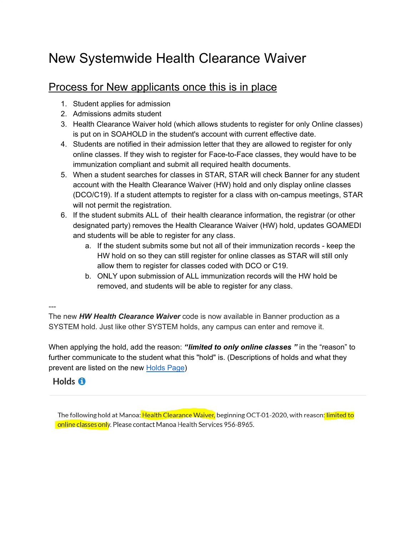# New Systemwide Health Clearance Waiver

## Process for New applicants once this is in place

- 1. Student applies for admission
- 2. Admissions admits student
- 3. Health Clearance Waiver hold (which allows students to register for only Online classes) is put on in SOAHOLD in the student's account with current effective date.
- 4. Students are notified in their admission letter that they are allowed to register for only online classes. If they wish to register for Face-to-Face classes, they would have to be immunization compliant and submit all required health documents.
- 5. When a student searches for classes in STAR, STAR will check Banner for any student account with the Health Clearance Waiver (HW) hold and only display online classes (DCO/C19). If a student attempts to register for a class with on-campus meetings, STAR will not permit the registration.
- 6. If the student submits ALL of their health clearance information, the registrar (or other designated party) removes the Health Clearance Waiver (HW) hold, updates GOAMEDI and students will be able to register for any class.
	- a. If the student submits some but not all of their immunization records keep the HW hold on so they can still register for online classes as STAR will still only allow them to register for classes coded with DCO or C19.
	- b. ONLY upon submission of ALL immunization records will the HW hold be removed, and students will be able to register for any class.

#### ---

The new *HW Health Clearance Waiver* code is now available in Banner production as a SYSTEM hold. Just like other SYSTEM holds, any campus can enter and remove it.

When applying the hold, add the reason: *"limited to only online classes "* in the "reason" to further communicate to the student what this "hold" is. (Descriptions of holds and what they prevent are listed on the new [Holds Page](https://www.hawaii.edu/myuhinfo/holds/))

## Holds  $\bullet$

The following hold at Manoa: Health Clearance Waiver, beginning OCT-01-2020, with reason: limited to online classes only. Please contact Manoa Health Services 956-8965.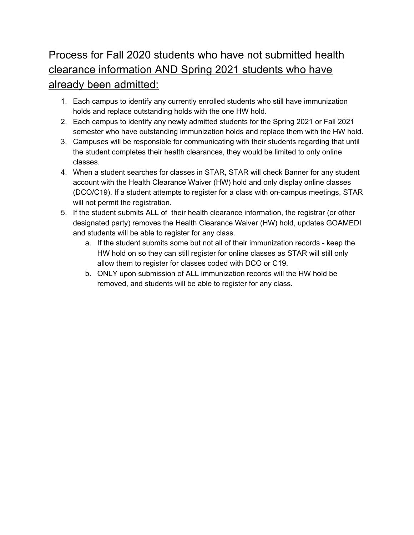## Process for Fall 2020 students who have not submitted health clearance information AND Spring 2021 students who have already been admitted:

- 1. Each campus to identify any currently enrolled students who still have immunization holds and replace outstanding holds with the one HW hold.
- 2. Each campus to identify any newly admitted students for the Spring 2021 or Fall 2021 semester who have outstanding immunization holds and replace them with the HW hold.
- 3. Campuses will be responsible for communicating with their students regarding that until the student completes their health clearances, they would be limited to only online classes.
- 4. When a student searches for classes in STAR, STAR will check Banner for any student account with the Health Clearance Waiver (HW) hold and only display online classes (DCO/C19). If a student attempts to register for a class with on-campus meetings, STAR will not permit the registration.
- 5. If the student submits ALL of their health clearance information, the registrar (or other designated party) removes the Health Clearance Waiver (HW) hold, updates GOAMEDI and students will be able to register for any class.
	- a. If the student submits some but not all of their immunization records keep the HW hold on so they can still register for online classes as STAR will still only allow them to register for classes coded with DCO or C19.
	- b. ONLY upon submission of ALL immunization records will the HW hold be removed, and students will be able to register for any class.